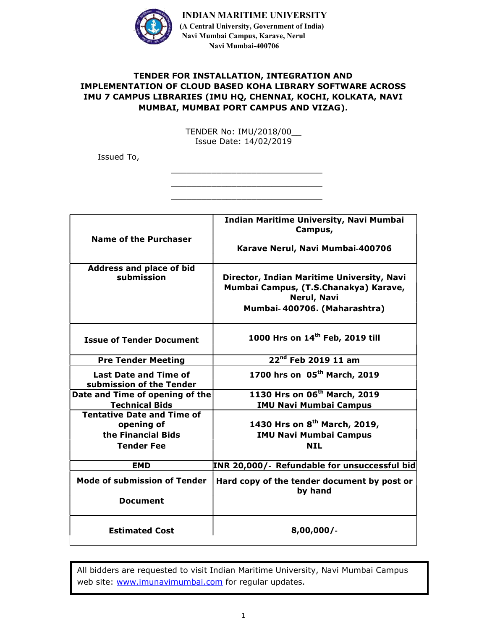

## TENDER FOR INSTALLATION, INTEGRATION AND IMPLEMENTATION OF CLOUD BASED KOHA LIBRARY SOFTWARE ACROSS IMU 7 CAMPUS LIBRARIES (IMU HQ, CHENNAI, KOCHI, KOLKATA, NAVI MUMBAI, MUMBAI PORT CAMPUS AND VIZAG).

TENDER No: IMU/2018/00\_\_ Issue Date: 14/02/2019

\_\_\_\_\_\_\_\_\_\_\_\_\_\_\_\_\_\_\_\_\_\_\_\_\_\_\_\_\_\_ \_\_\_\_\_\_\_\_\_\_\_\_\_\_\_\_\_\_\_\_\_\_\_\_\_\_\_\_\_\_ \_\_\_\_\_\_\_\_\_\_\_\_\_\_\_\_\_\_\_\_\_\_\_\_\_\_\_\_\_\_

Issued To,

| <b>Name of the Purchaser</b>                             | Indian Maritime University, Navi Mumbai<br>Campus,     |
|----------------------------------------------------------|--------------------------------------------------------|
|                                                          | Karave Nerul, Navi Mumbai-400706                       |
| Address and place of bid<br>submission                   | Director, Indian Maritime University, Navi             |
|                                                          | Mumbai Campus, (T.S.Chanakya) Karave,<br>Nerul, Navi   |
|                                                          | Mumbai-400706. (Maharashtra)                           |
| <b>Issue of Tender Document</b>                          | 1000 Hrs on 14 <sup>th</sup> Feb, 2019 till            |
| <b>Pre Tender Meeting</b>                                | 22 <sup>nd</sup> Feb 2019 11 am                        |
| <b>Last Date and Time of</b><br>submission of the Tender | 1700 hrs on 05 <sup>th</sup> March, 2019               |
| Date and Time of opening of the                          | 1130 Hrs on 06 <sup>th</sup> March, 2019               |
| <b>Technical Bids</b>                                    | <b>IMU Navi Mumbai Campus</b>                          |
| <b>Tentative Date and Time of</b>                        |                                                        |
| opening of                                               | 1430 Hrs on 8 <sup>th</sup> March, 2019,               |
| the Financial Bids                                       | <b>IMU Navi Mumbai Campus</b>                          |
| <b>Tender Fee</b>                                        | <b>NIL</b>                                             |
| <b>EMD</b>                                               | INR 20,000/- Refundable for unsuccessful bid           |
| <b>Mode of submission of Tender</b>                      | Hard copy of the tender document by post or<br>by hand |
| <b>Document</b>                                          |                                                        |
| <b>Estimated Cost</b>                                    | 8,00,000/                                              |

All bidders are requested to visit Indian Maritime University, Navi Mumbai Campus web site: www.imunavimumbai.com for regular updates.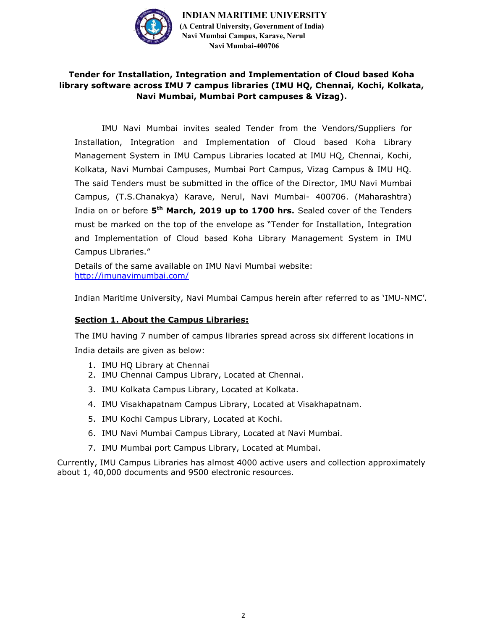

## Tender for Installation, Integration and Implementation of Cloud based Koha library software across IMU 7 campus libraries (IMU HQ, Chennai, Kochi, Kolkata, Navi Mumbai, Mumbai Port campuses & Vizag).

IMU Navi Mumbai invites sealed Tender from the Vendors/Suppliers for Installation, Integration and Implementation of Cloud based Koha Library Management System in IMU Campus Libraries located at IMU HQ, Chennai, Kochi, Kolkata, Navi Mumbai Campuses, Mumbai Port Campus, Vizag Campus & IMU HQ. The said Tenders must be submitted in the office of the Director, IMU Navi Mumbai Campus, (T.S.Chanakya) Karave, Nerul, Navi Mumbai- 400706. (Maharashtra) India on or before 5<sup>th</sup> March, 2019 up to 1700 hrs. Sealed cover of the Tenders must be marked on the top of the envelope as "Tender for Installation, Integration and Implementation of Cloud based Koha Library Management System in IMU Campus Libraries."

Details of the same available on IMU Navi Mumbai website: http://imunavimumbai.com/

Indian Maritime University, Navi Mumbai Campus herein after referred to as 'IMU-NMC'.

#### Section 1. About the Campus Libraries:

The IMU having 7 number of campus libraries spread across six different locations in India details are given as below:

- 1. IMU HQ Library at Chennai
- 2. IMU Chennai Campus Library, Located at Chennai.
- 3. IMU Kolkata Campus Library, Located at Kolkata.
- 4. IMU Visakhapatnam Campus Library, Located at Visakhapatnam.
- 5. IMU Kochi Campus Library, Located at Kochi.
- 6. IMU Navi Mumbai Campus Library, Located at Navi Mumbai.
- 7. IMU Mumbai port Campus Library, Located at Mumbai.

Currently, IMU Campus Libraries has almost 4000 active users and collection approximately about 1, 40,000 documents and 9500 electronic resources.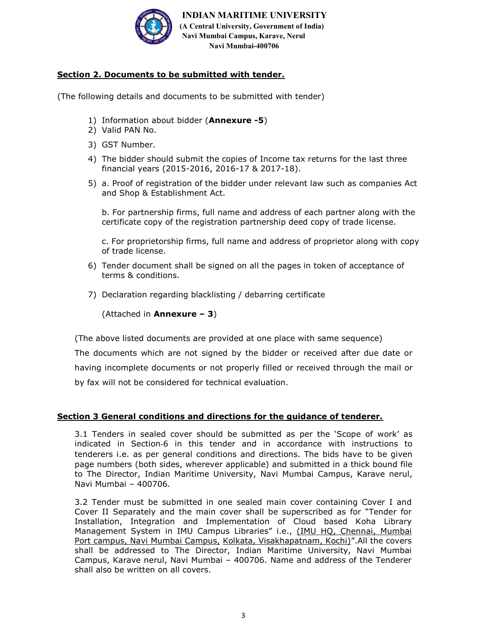

## Section 2. Documents to be submitted with tender.

(The following details and documents to be submitted with tender)

- 1) Information about bidder (Annexure -5)
- 2) Valid PAN No.
- 3) GST Number.
- 4) The bidder should submit the copies of Income tax returns for the last three financial years (2015-2016, 2016-17 & 2017-18).
- 5) a. Proof of registration of the bidder under relevant law such as companies Act and Shop & Establishment Act.

b. For partnership firms, full name and address of each partner along with the certificate copy of the registration partnership deed copy of trade license.

c. For proprietorship firms, full name and address of proprietor along with copy of trade license.

- 6) Tender document shall be signed on all the pages in token of acceptance of terms & conditions.
- 7) Declaration regarding blacklisting / debarring certificate

(Attached in **Annexure – 3**)

(The above listed documents are provided at one place with same sequence)

The documents which are not signed by the bidder or received after due date or having incomplete documents or not properly filled or received through the mail or by fax will not be considered for technical evaluation.

#### Section 3 General conditions and directions for the guidance of tenderer.

3.1 Tenders in sealed cover should be submitted as per the 'Scope of work' as indicated in Section‐6 in this tender and in accordance with instructions to tenderers i.e. as per general conditions and directions. The bids have to be given page numbers (both sides, wherever applicable) and submitted in a thick bound file to The Director, Indian Maritime University, Navi Mumbai Campus, Karave nerul, Navi Mumbai – 400706.

3.2 Tender must be submitted in one sealed main cover containing Cover I and Cover II Separately and the main cover shall be superscribed as for "Tender for Installation, Integration and Implementation of Cloud based Koha Library Management System in IMU Campus Libraries" i.e., (IMU HQ, Chennai, Mumbai Port campus, Navi Mumbai Campus, Kolkata, Visakhapatnam, Kochi)".All the covers shall be addressed to The Director, Indian Maritime University, Navi Mumbai Campus, Karave nerul, Navi Mumbai – 400706. Name and address of the Tenderer shall also be written on all covers.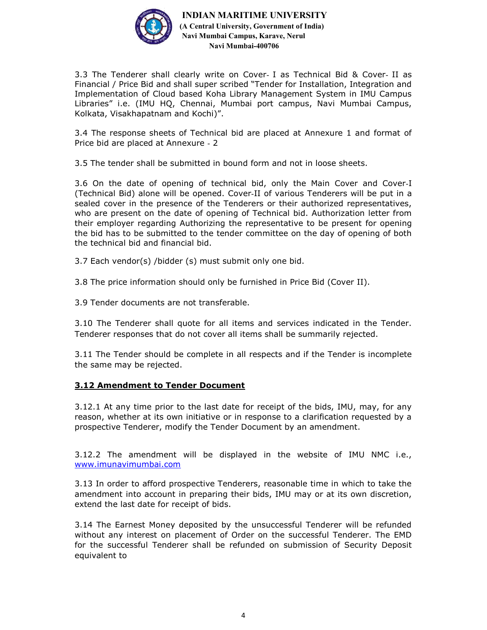

3.3 The Tenderer shall clearly write on Cover- I as Technical Bid & Cover- II as Financial / Price Bid and shall super scribed "Tender for Installation, Integration and Implementation of Cloud based Koha Library Management System in IMU Campus Libraries" i.e. (IMU HQ, Chennai, Mumbai port campus, Navi Mumbai Campus, Kolkata, Visakhapatnam and Kochi)".

3.4 The response sheets of Technical bid are placed at Annexure 1 and format of Price bid are placed at Annexure - 2

3.5 The tender shall be submitted in bound form and not in loose sheets.

3.6 On the date of opening of technical bid, only the Main Cover and Cover‐I (Technical Bid) alone will be opened. Cover‐II of various Tenderers will be put in a sealed cover in the presence of the Tenderers or their authorized representatives, who are present on the date of opening of Technical bid. Authorization letter from their employer regarding Authorizing the representative to be present for opening the bid has to be submitted to the tender committee on the day of opening of both the technical bid and financial bid.

3.7 Each vendor(s) /bidder (s) must submit only one bid.

3.8 The price information should only be furnished in Price Bid (Cover II).

3.9 Tender documents are not transferable.

3.10 The Tenderer shall quote for all items and services indicated in the Tender. Tenderer responses that do not cover all items shall be summarily rejected.

3.11 The Tender should be complete in all respects and if the Tender is incomplete the same may be rejected.

#### 3.12 Amendment to Tender Document

3.12.1 At any time prior to the last date for receipt of the bids, IMU, may, for any reason, whether at its own initiative or in response to a clarification requested by a prospective Tenderer, modify the Tender Document by an amendment.

3.12.2 The amendment will be displayed in the website of IMU NMC i.e., www.imunavimumbai.com

3.13 In order to afford prospective Tenderers, reasonable time in which to take the amendment into account in preparing their bids, IMU may or at its own discretion, extend the last date for receipt of bids.

3.14 The Earnest Money deposited by the unsuccessful Tenderer will be refunded without any interest on placement of Order on the successful Tenderer. The EMD for the successful Tenderer shall be refunded on submission of Security Deposit equivalent to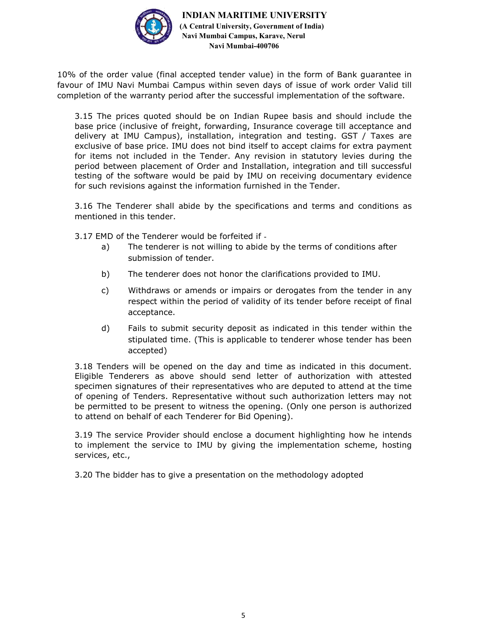

10% of the order value (final accepted tender value) in the form of Bank guarantee in favour of IMU Navi Mumbai Campus within seven days of issue of work order Valid till completion of the warranty period after the successful implementation of the software.

3.15 The prices quoted should be on Indian Rupee basis and should include the base price (inclusive of freight, forwarding, Insurance coverage till acceptance and delivery at IMU Campus), installation, integration and testing. GST / Taxes are exclusive of base price. IMU does not bind itself to accept claims for extra payment for items not included in the Tender. Any revision in statutory levies during the period between placement of Order and Installation, integration and till successful testing of the software would be paid by IMU on receiving documentary evidence for such revisions against the information furnished in the Tender.

3.16 The Tenderer shall abide by the specifications and terms and conditions as mentioned in this tender.

3.17 EMD of the Tenderer would be forfeited if ‐

- a) The tenderer is not willing to abide by the terms of conditions after submission of tender.
- b) The tenderer does not honor the clarifications provided to IMU.
- c) Withdraws or amends or impairs or derogates from the tender in any respect within the period of validity of its tender before receipt of final acceptance.
- d) Fails to submit security deposit as indicated in this tender within the stipulated time. (This is applicable to tenderer whose tender has been accepted)

3.18 Tenders will be opened on the day and time as indicated in this document. Eligible Tenderers as above should send letter of authorization with attested specimen signatures of their representatives who are deputed to attend at the time of opening of Tenders. Representative without such authorization letters may not be permitted to be present to witness the opening. (Only one person is authorized to attend on behalf of each Tenderer for Bid Opening).

3.19 The service Provider should enclose a document highlighting how he intends to implement the service to IMU by giving the implementation scheme, hosting services, etc.,

3.20 The bidder has to give a presentation on the methodology adopted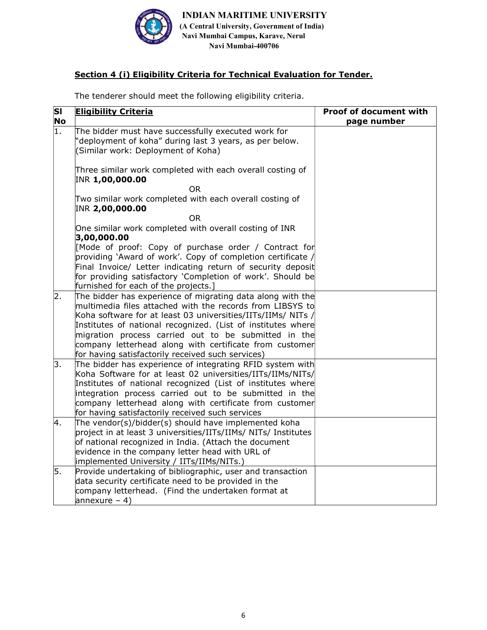

## Section 4 (i) Eligibility Criteria for Technical Evaluation for Tender.

The tenderer should meet the following eligibility criteria.

| SI | <b>Eligibility Criteria</b>                                                                                                                                                                                                                                                                                                                                                                                                     | <b>Proof of document with</b> |
|----|---------------------------------------------------------------------------------------------------------------------------------------------------------------------------------------------------------------------------------------------------------------------------------------------------------------------------------------------------------------------------------------------------------------------------------|-------------------------------|
| No |                                                                                                                                                                                                                                                                                                                                                                                                                                 | page number                   |
| 1. | The bidder must have successfully executed work for<br>'deployment of koha" during last 3 years, as per below.<br>(Similar work: Deployment of Koha)                                                                                                                                                                                                                                                                            |                               |
|    | Three similar work completed with each overall costing of<br>INR 1,00,000.00                                                                                                                                                                                                                                                                                                                                                    |                               |
|    | <b>OR</b>                                                                                                                                                                                                                                                                                                                                                                                                                       |                               |
|    | Two similar work completed with each overall costing of<br>INR 2,00,000.00                                                                                                                                                                                                                                                                                                                                                      |                               |
|    | OR.                                                                                                                                                                                                                                                                                                                                                                                                                             |                               |
|    | One similar work completed with overall costing of INR<br>3,00,000.00                                                                                                                                                                                                                                                                                                                                                           |                               |
|    | [Mode of proof: Copy of purchase order / Contract for<br>providing 'Award of work'. Copy of completion certificate /<br>Final Invoice/ Letter indicating return of security deposit                                                                                                                                                                                                                                             |                               |
|    | for providing satisfactory 'Completion of work'. Should be                                                                                                                                                                                                                                                                                                                                                                      |                               |
|    | furnished for each of the projects.]                                                                                                                                                                                                                                                                                                                                                                                            |                               |
| 2. | The bidder has experience of migrating data along with the<br>multimedia files attached with the records from LIBSYS to<br>Koha software for at least 03 universities/IITs/IIMs/ NITs /<br>Institutes of national recognized. (List of institutes where<br>migration process carried out to be submitted in the<br>company letterhead along with certificate from customer<br>for having satisfactorily received such services) |                               |
| 3. | The bidder has experience of integrating RFID system with<br>Koha Software for at least 02 universities/IITs/IIMs/NITs/<br>Institutes of national recognized (List of institutes where<br>integration process carried out to be submitted in the<br>company letterhead along with certificate from customer<br>for having satisfactorily received such services                                                                 |                               |
| 4. | The vendor(s)/bidder(s) should have implemented koha<br>project in at least 3 universities/IITs/IIMs/ NITs/ Institutes<br>of national recognized in India. (Attach the document<br>evidence in the company letter head with URL of<br>implemented University / IITs/IIMs/NITs.)                                                                                                                                                 |                               |
| 5. | Provide undertaking of bibliographic, user and transaction<br>data security certificate need to be provided in the<br>company letterhead. (Find the undertaken format at<br>annexure $-4$ )                                                                                                                                                                                                                                     |                               |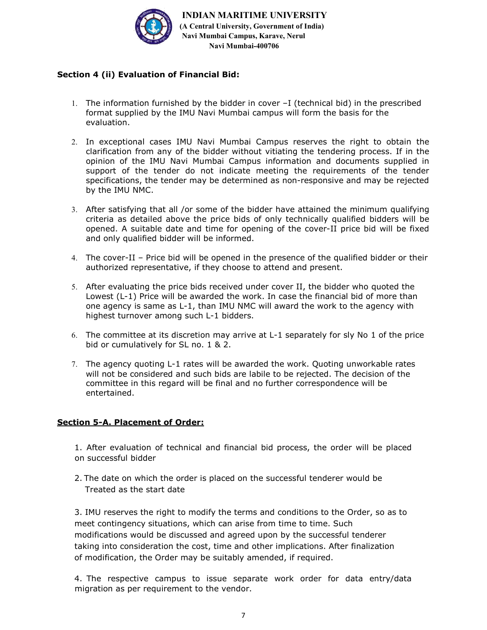

## Section 4 (ii) Evaluation of Financial Bid:

- 1. The information furnished by the bidder in cover –I (technical bid) in the prescribed format supplied by the IMU Navi Mumbai campus will form the basis for the evaluation.
- 2. In exceptional cases IMU Navi Mumbai Campus reserves the right to obtain the clarification from any of the bidder without vitiating the tendering process. If in the opinion of the IMU Navi Mumbai Campus information and documents supplied in support of the tender do not indicate meeting the requirements of the tender specifications, the tender may be determined as non-responsive and may be rejected by the IMU NMC.
- 3. After satisfying that all /or some of the bidder have attained the minimum qualifying criteria as detailed above the price bids of only technically qualified bidders will be opened. A suitable date and time for opening of the cover-II price bid will be fixed and only qualified bidder will be informed.
- 4. The cover-II Price bid will be opened in the presence of the qualified bidder or their authorized representative, if they choose to attend and present.
- 5. After evaluating the price bids received under cover II, the bidder who quoted the Lowest (L-1) Price will be awarded the work. In case the financial bid of more than one agency is same as L-1, than IMU NMC will award the work to the agency with highest turnover among such L-1 bidders.
- 6. The committee at its discretion may arrive at L-1 separately for sly No 1 of the price bid or cumulatively for SL no. 1 & 2.
- 7. The agency quoting L-1 rates will be awarded the work. Quoting unworkable rates will not be considered and such bids are labile to be rejected. The decision of the committee in this regard will be final and no further correspondence will be entertained.

#### Section 5-A. Placement of Order:

1. After evaluation of technical and financial bid process, the order will be placed on successful bidder

2. The date on which the order is placed on the successful tenderer would be Treated as the start date

3. IMU reserves the right to modify the terms and conditions to the Order, so as to meet contingency situations, which can arise from time to time. Such modifications would be discussed and agreed upon by the successful tenderer taking into consideration the cost, time and other implications. After finalization of modification, the Order may be suitably amended, if required.

4. The respective campus to issue separate work order for data entry/data migration as per requirement to the vendor.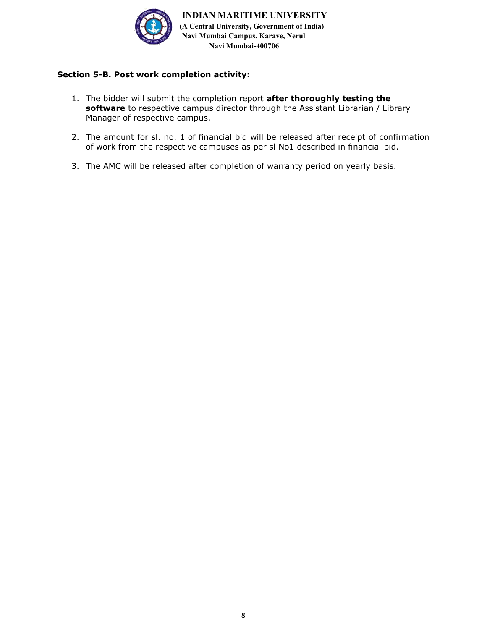

## Section 5-B. Post work completion activity:

- 1. The bidder will submit the completion report after thoroughly testing the software to respective campus director through the Assistant Librarian / Library Manager of respective campus.
- 2. The amount for sl. no. 1 of financial bid will be released after receipt of confirmation of work from the respective campuses as per sl No1 described in financial bid.
- 3. The AMC will be released after completion of warranty period on yearly basis.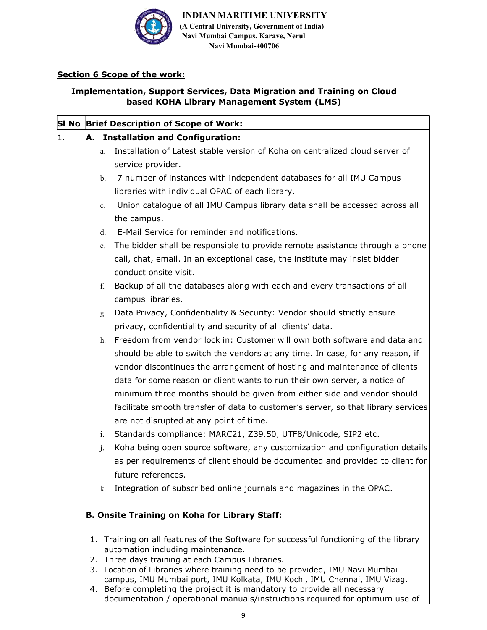

# Section 6 Scope of the work:

## Implementation, Support Services, Data Migration and Training on Cloud based KOHA Library Management System (LMS)

| SI No Brief Description of Scope of Work: |    |                                                                                                                                                       |  |  |
|-------------------------------------------|----|-------------------------------------------------------------------------------------------------------------------------------------------------------|--|--|
|                                           |    | A. Installation and Configuration:                                                                                                                    |  |  |
|                                           | a. | Installation of Latest stable version of Koha on centralized cloud server of                                                                          |  |  |
|                                           |    | service provider.                                                                                                                                     |  |  |
|                                           | b. | 7 number of instances with independent databases for all IMU Campus                                                                                   |  |  |
|                                           |    | libraries with individual OPAC of each library.                                                                                                       |  |  |
|                                           | c. | Union catalogue of all IMU Campus library data shall be accessed across all                                                                           |  |  |
|                                           |    | the campus.                                                                                                                                           |  |  |
|                                           | d. | E-Mail Service for reminder and notifications.                                                                                                        |  |  |
|                                           | e. | The bidder shall be responsible to provide remote assistance through a phone                                                                          |  |  |
|                                           |    | call, chat, email. In an exceptional case, the institute may insist bidder                                                                            |  |  |
|                                           |    | conduct onsite visit.                                                                                                                                 |  |  |
|                                           | f. | Backup of all the databases along with each and every transactions of all                                                                             |  |  |
|                                           |    | campus libraries.                                                                                                                                     |  |  |
|                                           | g. | Data Privacy, Confidentiality & Security: Vendor should strictly ensure                                                                               |  |  |
|                                           |    | privacy, confidentiality and security of all clients' data.                                                                                           |  |  |
|                                           | h. | Freedom from vendor lock-in: Customer will own both software and data and                                                                             |  |  |
|                                           |    | should be able to switch the vendors at any time. In case, for any reason, if                                                                         |  |  |
|                                           |    | vendor discontinues the arrangement of hosting and maintenance of clients                                                                             |  |  |
|                                           |    | data for some reason or client wants to run their own server, a notice of                                                                             |  |  |
|                                           |    | minimum three months should be given from either side and vendor should                                                                               |  |  |
|                                           |    | facilitate smooth transfer of data to customer's server, so that library services                                                                     |  |  |
|                                           |    | are not disrupted at any point of time.                                                                                                               |  |  |
|                                           | i. | Standards compliance: MARC21, Z39.50, UTF8/Unicode, SIP2 etc.                                                                                         |  |  |
|                                           | j. | Koha being open source software, any customization and configuration details                                                                          |  |  |
|                                           |    | as per requirements of client should be documented and provided to client for                                                                         |  |  |
|                                           |    | future references.                                                                                                                                    |  |  |
|                                           | k. | Integration of subscribed online journals and magazines in the OPAC.                                                                                  |  |  |
|                                           |    |                                                                                                                                                       |  |  |
|                                           |    | B. Onsite Training on Koha for Library Staff:                                                                                                         |  |  |
|                                           |    |                                                                                                                                                       |  |  |
|                                           |    | 1. Training on all features of the Software for successful functioning of the library<br>automation including maintenance.                            |  |  |
|                                           |    | 2. Three days training at each Campus Libraries.                                                                                                      |  |  |
|                                           |    | 3. Location of Libraries where training need to be provided, IMU Navi Mumbai                                                                          |  |  |
|                                           |    | campus, IMU Mumbai port, IMU Kolkata, IMU Kochi, IMU Chennai, IMU Vizag.<br>4. Before completing the project it is mandatory to provide all necessary |  |  |

documentation / operational manuals/instructions required for optimum use of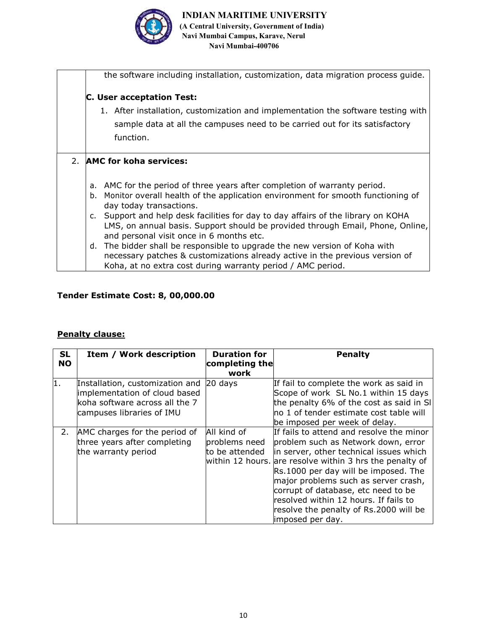

| the software including installation, customization, data migration process guide.     |
|---------------------------------------------------------------------------------------|
| <b>C. User acceptation Test:</b>                                                      |
| 1. After installation, customization and implementation the software testing with     |
| sample data at all the campuses need to be carried out for its satisfactory           |
| function.                                                                             |
|                                                                                       |
| 2. AMC for koha services:                                                             |
|                                                                                       |
| AMC for the period of three years after completion of warranty period.<br>а.          |
| Monitor overall health of the application environment for smooth functioning of<br>b. |
| day today transactions.                                                               |
| c. Support and help desk facilities for day to day affairs of the library on KOHA     |
| LMS, on annual basis. Support should be provided through Email, Phone, Online,        |
| and personal visit once in 6 months etc.                                              |
| d. The bidder shall be responsible to upgrade the new version of Koha with            |
| necessary patches & customizations already active in the previous version of          |
| Koha, at no extra cost during warranty period / AMC period.                           |

# Tender Estimate Cost: 8, 00,000.00

## Penalty clause:

| <b>SL</b><br><b>NO</b> | Item / Work description                                                                                                         | <b>Duration for</b><br>completing the<br>work  | <b>Penalty</b>                                                                                                                                                                                                                                                                                                                                                                                                       |
|------------------------|---------------------------------------------------------------------------------------------------------------------------------|------------------------------------------------|----------------------------------------------------------------------------------------------------------------------------------------------------------------------------------------------------------------------------------------------------------------------------------------------------------------------------------------------------------------------------------------------------------------------|
| 1.                     | Installation, customization and<br>implementation of cloud based<br>koha software across all the 7<br>campuses libraries of IMU | $20$ days                                      | If fail to complete the work as said in<br>Scope of work SL No.1 within 15 days<br>the penalty 6% of the cost as said in SI<br>no 1 of tender estimate cost table will<br>be imposed per week of delay.                                                                                                                                                                                                              |
| 2.                     | AMC charges for the period of<br>three years after completing<br>the warranty period                                            | All kind of<br>problems need<br>to be attended | If fails to attend and resolve the minor<br>problem such as Network down, error<br>in server, other technical issues which<br>within 12 hours. are resolve within 3 hrs the penalty of<br>Rs.1000 per day will be imposed. The<br>major problems such as server crash,<br>corrupt of database, etc need to be<br>resolved within 12 hours. If fails to<br>resolve the penalty of Rs.2000 will be<br>imposed per day. |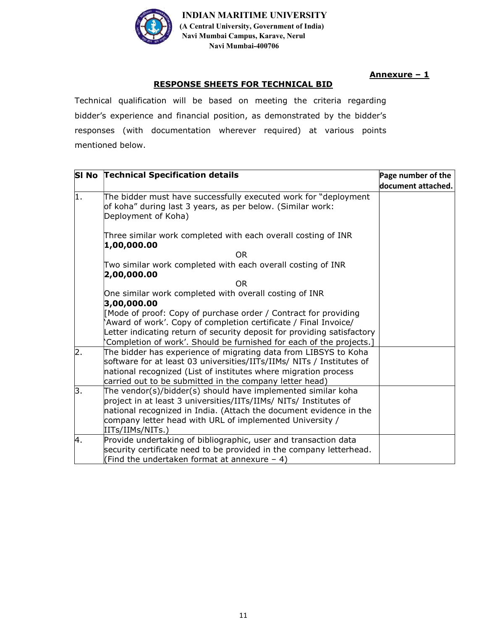

Annexure - 1

## RESPONSE SHEETS FOR TECHNICAL BID

Technical qualification will be based on meeting the criteria regarding bidder's experience and financial position, as demonstrated by the bidder's responses (with documentation wherever required) at various points mentioned below.

|    | SI No Technical Specification details                                                                                                                                                                                                                                                   | Page number of the |
|----|-----------------------------------------------------------------------------------------------------------------------------------------------------------------------------------------------------------------------------------------------------------------------------------------|--------------------|
|    |                                                                                                                                                                                                                                                                                         | document attached. |
| 1. | The bidder must have successfully executed work for "deployment<br>of koha" during last 3 years, as per below. (Similar work:<br>Deployment of Koha)                                                                                                                                    |                    |
|    | Three similar work completed with each overall costing of INR<br>1,00,000.00                                                                                                                                                                                                            |                    |
|    | OR.                                                                                                                                                                                                                                                                                     |                    |
|    | Two similar work completed with each overall costing of INR<br>2,00,000.00                                                                                                                                                                                                              |                    |
|    | OR.                                                                                                                                                                                                                                                                                     |                    |
|    | One similar work completed with overall costing of INR<br>3,00,000.00                                                                                                                                                                                                                   |                    |
|    | [Mode of proof: Copy of purchase order / Contract for providing<br>'Award of work'. Copy of completion certificate / Final Invoice/<br>Letter indicating return of security deposit for providing satisfactory<br>Completion of work'. Should be furnished for each of the projects.]   |                    |
| 2. | The bidder has experience of migrating data from LIBSYS to Koha<br>software for at least 03 universities/IITs/IIMs/ NITs / Institutes of<br>national recognized (List of institutes where migration process<br>carried out to be submitted in the company letter head)                  |                    |
| 3. | The vendor(s)/bidder(s) should have implemented similar koha<br>project in at least 3 universities/IITs/IIMs/ NITs/ Institutes of<br>national recognized in India. (Attach the document evidence in the<br>company letter head with URL of implemented University /<br>IITs/IIMs/NITs.) |                    |
| 4. | Provide undertaking of bibliographic, user and transaction data<br>security certificate need to be provided in the company letterhead.<br>(Find the undertaken format at annexure $-4$ )                                                                                                |                    |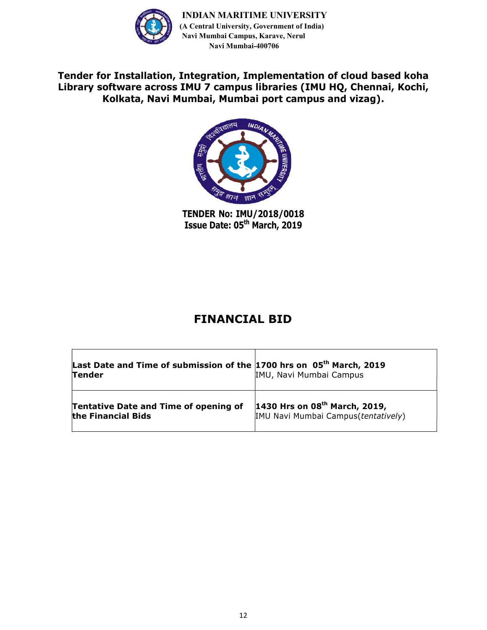

Tender for Installation, Integration, Implementation of cloud based koha Library software across IMU 7 campus libraries (IMU HQ, Chennai, Kochi, Kolkata, Navi Mumbai, Mumbai port campus and vizag).



TENDER No: IMU/2018/0018 Issue Date: 05th March, 2019

# FINANCIAL BID

| Last Date and Time of submission of the $1700$ hrs on $05th$ March, 2019<br><b>Tender</b> | IMU, Navi Mumbai Campus             |
|-------------------------------------------------------------------------------------------|-------------------------------------|
| <b>Tentative Date and Time of opening of</b>                                              | 1430 Hrs on $08th$ March, 2019,     |
| the Financial Bids                                                                        | IMU Navi Mumbai Campus(tentatively) |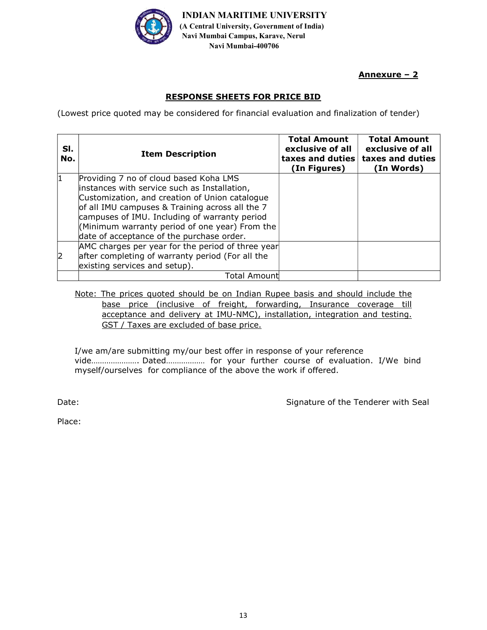

Annexure – 2

# RESPONSE SHEETS FOR PRICE BID

(Lowest price quoted may be considered for financial evaluation and finalization of tender)

| SI.<br>No. | <b>Item Description</b>                                                                                                                                                                                                                                                                                                                     | <b>Total Amount</b><br>exclusive of all<br>taxes and duties<br>(In Figures) | <b>Total Amount</b><br>exclusive of all<br>taxes and duties<br>(In Words) |
|------------|---------------------------------------------------------------------------------------------------------------------------------------------------------------------------------------------------------------------------------------------------------------------------------------------------------------------------------------------|-----------------------------------------------------------------------------|---------------------------------------------------------------------------|
| 1          | Providing 7 no of cloud based Koha LMS<br>instances with service such as Installation,<br>Customization, and creation of Union catalogue<br>of all IMU campuses & Training across all the 7<br>campuses of IMU. Including of warranty period<br>(Minimum warranty period of one year) From the<br>date of acceptance of the purchase order. |                                                                             |                                                                           |
| 2          | AMC charges per year for the period of three year<br>after completing of warranty period (For all the<br>existing services and setup).                                                                                                                                                                                                      |                                                                             |                                                                           |
|            | Total Amount                                                                                                                                                                                                                                                                                                                                |                                                                             |                                                                           |

Note: The prices quoted should be on Indian Rupee basis and should include the base price (inclusive of freight, forwarding, Insurance coverage till acceptance and delivery at IMU-NMC), installation, integration and testing. GST / Taxes are excluded of base price.

I/we am/are submitting my/our best offer in response of your reference vide…………………. Dated……………… for your further course of evaluation. I/We bind myself/ourselves for compliance of the above the work if offered.

Date: Date: Signature of the Tenderer with Seal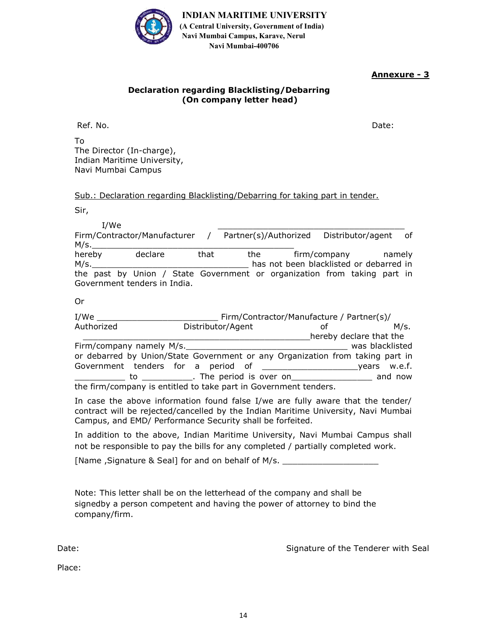

## Annexure - 3

#### Declaration regarding Blacklisting/Debarring (On company letter head)

Ref. No. Date:

To The Director (In-charge), Indian Maritime University, Navi Mumbai Campus

Sub.: Declaration regarding Blacklisting/Debarring for taking part in tender.

Sir,

I/We \_\_\_\_\_\_\_\_\_\_\_\_\_\_\_\_\_\_\_\_\_\_\_\_\_\_\_\_\_\_\_\_\_\_\_\_\_ Firm/Contractor/Manufacturer / Partner(s)/Authorized Distributor/agent of M/s.\_\_\_\_\_\_\_\_\_\_\_\_\_\_\_\_\_\_\_\_\_\_\_\_\_\_\_\_\_\_\_\_\_\_\_\_\_\_\_\_ hereby declare that the firm/company namely M/s. The same of the state of the blacklisted or debarred in the past by Union / State Government or organization from taking part in Government tenders in India.

Or

| I/We       |                                                                               | Firm/Contractor/Manufacture / Partner(s)/ |                 |
|------------|-------------------------------------------------------------------------------|-------------------------------------------|-----------------|
| Authorized | Distributor/Agent                                                             | οf                                        | M/s.            |
|            |                                                                               | hereby declare that the                   |                 |
|            | Firm/company namely M/s.                                                      |                                           | was blacklisted |
|            | or debarred by Union/State Government or any Organization from taking part in |                                           |                 |
|            |                                                                               |                                           |                 |
|            |                                                                               |                                           | and now         |
|            | the firm/company is entitled to take part in Government tenders.              |                                           |                 |

In case the above information found false I/we are fully aware that the tender/ contract will be rejected/cancelled by the Indian Maritime University, Navi Mumbai Campus, and EMD/ Performance Security shall be forfeited.

In addition to the above, Indian Maritime University, Navi Mumbai Campus shall not be responsible to pay the bills for any completed / partially completed work.

[Name, Signature & Seal] for and on behalf of M/s.

Note: This letter shall be on the letterhead of the company and shall be signedby a person competent and having the power of attorney to bind the company/firm.

Date: Date: Signature of the Tenderer with Seal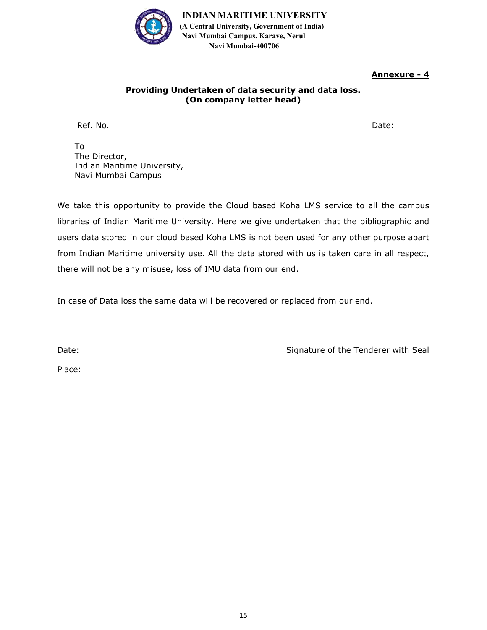

## Annexure - 4

#### Providing Undertaken of data security and data loss. (On company letter head)

Ref. No. Date:

To The Director, Indian Maritime University, Navi Mumbai Campus

We take this opportunity to provide the Cloud based Koha LMS service to all the campus libraries of Indian Maritime University. Here we give undertaken that the bibliographic and users data stored in our cloud based Koha LMS is not been used for any other purpose apart from Indian Maritime university use. All the data stored with us is taken care in all respect, there will not be any misuse, loss of IMU data from our end.

In case of Data loss the same data will be recovered or replaced from our end.

Date:

Signature of the Tenderer with Seal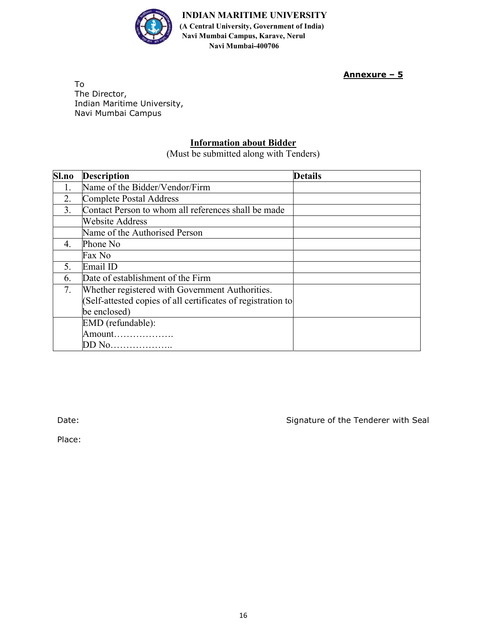

Annexure – 5

To The Director, Indian Maritime University, Navi Mumbai Campus

## Information about Bidder

(Must be submitted along with Tenders)

| Sl.no | <b>Description</b>                                           | <b>Details</b> |  |
|-------|--------------------------------------------------------------|----------------|--|
| 1.    | Name of the Bidder/Vendor/Firm                               |                |  |
| 2.    | Complete Postal Address                                      |                |  |
| 3.    | Contact Person to whom all references shall be made          |                |  |
|       | Website Address                                              |                |  |
|       | Name of the Authorised Person                                |                |  |
| 4.    | Phone No                                                     |                |  |
|       | Fax No                                                       |                |  |
| 5.    | Email ID                                                     |                |  |
| 6.    | Date of establishment of the Firm                            |                |  |
| 7.    | Whether registered with Government Authorities.              |                |  |
|       | (Self-attested copies of all certificates of registration to |                |  |
|       | be enclosed)                                                 |                |  |
|       | EMD (refundable):                                            |                |  |
|       | Amount                                                       |                |  |
|       | DD No                                                        |                |  |

Date: Date: Signature of the Tenderer with Seal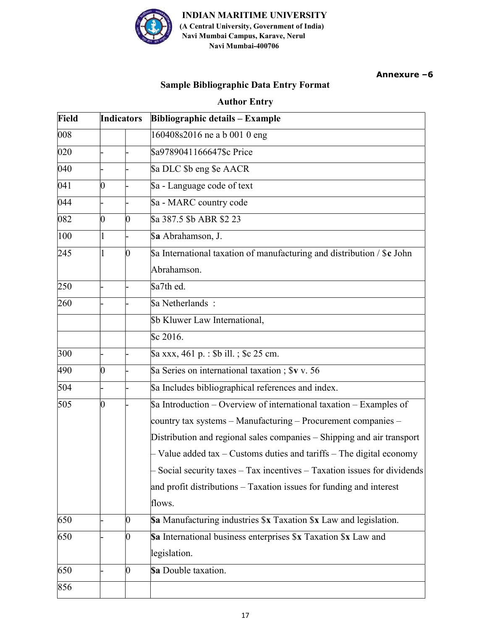

Annexure -6

# Sample Bibliographic Data Entry Format

## **Author Entry**

| Field<br><b>Indicators</b> |             |    | <b>Bibliographic details - Example</b>                                                                                                                                                                                                                                                                                                                                                                                                                    |  |
|----------------------------|-------------|----|-----------------------------------------------------------------------------------------------------------------------------------------------------------------------------------------------------------------------------------------------------------------------------------------------------------------------------------------------------------------------------------------------------------------------------------------------------------|--|
| 008                        |             |    | 160408s2016 ne a b 001 0 eng                                                                                                                                                                                                                                                                                                                                                                                                                              |  |
| 020                        |             |    | \$a9789041166647\$c Price                                                                                                                                                                                                                                                                                                                                                                                                                                 |  |
| 040                        |             |    | \$a DLC \$b eng \$e AACR                                                                                                                                                                                                                                                                                                                                                                                                                                  |  |
| 041                        | 0           |    | \$a - Language code of text                                                                                                                                                                                                                                                                                                                                                                                                                               |  |
| 044                        |             |    | \$a - MARC country code                                                                                                                                                                                                                                                                                                                                                                                                                                   |  |
| 082                        | 0           | 0  | \$a 387.5 \$b ABR \$2 23                                                                                                                                                                                                                                                                                                                                                                                                                                  |  |
| 100                        | $\mathbf 1$ |    | \$a Abrahamson, J.                                                                                                                                                                                                                                                                                                                                                                                                                                        |  |
| 245                        | 1           | 0  | $\$$ a International taxation of manufacturing and distribution / $\$$ c John<br>Abrahamson.                                                                                                                                                                                                                                                                                                                                                              |  |
| 250                        |             |    | \$a7th ed.                                                                                                                                                                                                                                                                                                                                                                                                                                                |  |
| 260                        |             |    | Sa Netherlands:                                                                                                                                                                                                                                                                                                                                                                                                                                           |  |
|                            |             |    | \$b Kluwer Law International,                                                                                                                                                                                                                                                                                                                                                                                                                             |  |
|                            |             |    | Sc 2016.                                                                                                                                                                                                                                                                                                                                                                                                                                                  |  |
| 300                        |             |    | \$a xxx, 461 p. : \$b ill. ; \$c 25 cm.                                                                                                                                                                                                                                                                                                                                                                                                                   |  |
| 490                        | 0           |    | \$a Series on international taxation; \$v v. 56                                                                                                                                                                                                                                                                                                                                                                                                           |  |
| 504                        |             |    | \$a Includes bibliographical references and index.                                                                                                                                                                                                                                                                                                                                                                                                        |  |
| 505                        | 0           |    | $\$ a Introduction – Overview of international taxation – Examples of<br>country tax systems - Manufacturing - Procurement companies -<br>Distribution and regional sales companies - Shipping and air transport<br>Value added $tax - Customs$ duties and $tariffs - The digital economy$<br>Social security taxes $-$ Tax incentives $-$ Taxation issues for dividends<br>and profit distributions - Taxation issues for funding and interest<br>flows. |  |
| 650                        |             | 0  | Sa Manufacturing industries \$x Taxation \$x Law and legislation.                                                                                                                                                                                                                                                                                                                                                                                         |  |
| 650                        |             | 0  | Sa International business enterprises \$x Taxation \$x Law and<br>legislation.                                                                                                                                                                                                                                                                                                                                                                            |  |
| 650                        |             | 10 | Sa Double taxation.                                                                                                                                                                                                                                                                                                                                                                                                                                       |  |
| 856                        |             |    |                                                                                                                                                                                                                                                                                                                                                                                                                                                           |  |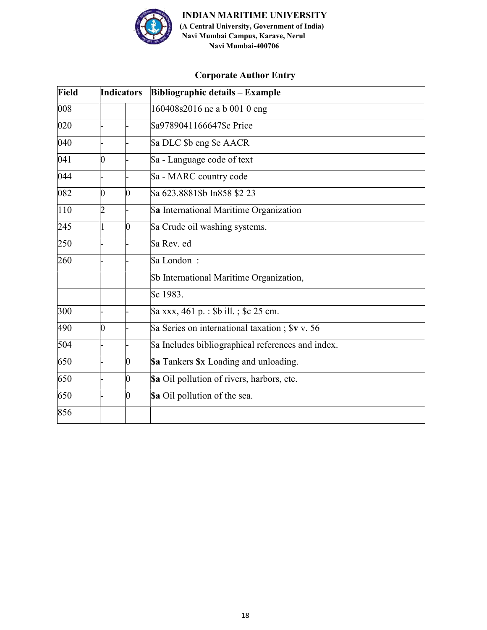

# **Corporate Author Entry**

| <b>Field</b> |   | <b>Indicators</b> | <b>Bibliographic details - Example</b>             |
|--------------|---|-------------------|----------------------------------------------------|
| 008          |   |                   | 160408s2016 ne a b 001 0 eng                       |
| 020          |   |                   | \$a9789041166647\$c Price                          |
| 040          |   |                   | \$a DLC \$b eng \$e AACR                           |
| 041          | 0 |                   | \$a - Language code of text                        |
| 044          |   |                   | \$a - MARC country code                            |
| 082          | 0 | 0                 | \$a 623.8881\$b In858 \$2 23                       |
| 110          | 2 |                   | \$a International Maritime Organization            |
| 245          |   | 0                 | \$a Crude oil washing systems.                     |
| 250          |   |                   | \$a Rev. ed                                        |
| 260          |   |                   | \$a London:                                        |
|              |   |                   | \$b International Maritime Organization,           |
|              |   |                   | Sc 1983.                                           |
| 300          |   |                   | \$a xxx, 461 p. : \$b ill. ; \$c 25 cm.            |
| 490          | 0 |                   | \$ Series on international taxation; \$v v. 56     |
| 504          |   |                   | \$a Includes bibliographical references and index. |
| 650          |   | 0                 | Sa Tankers Sx Loading and unloading.               |
| 650          |   | 0                 | \$a Oil pollution of rivers, harbors, etc.         |
| 650          |   | 0                 | Sa Oil pollution of the sea.                       |
| 856          |   |                   |                                                    |